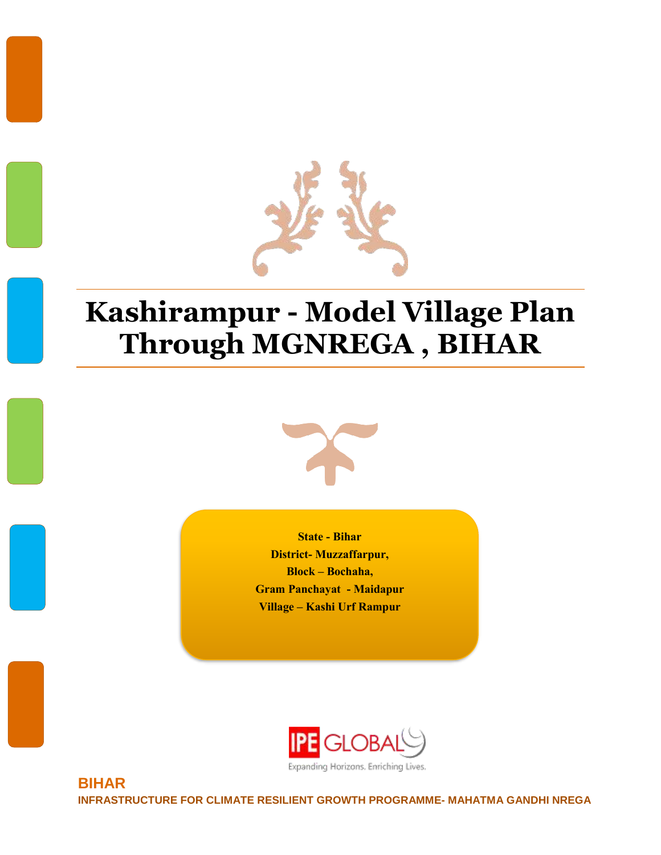

# **Kashirampur - Model Village Plan Through MGNREGA , BIHAR**



**State - Bihar District- Muzzaffarpur, Block – Bochaha, Gram Panchayat - Maidapur Village – Kashi Urf Rampur**



Expanding Horizons. Enriching Lives.

**BIHAR INFRASTRUCTURE FOR CLIMATE RESILIENT GROWTH PROGRAMME- MAHATMA GANDHI NREGA**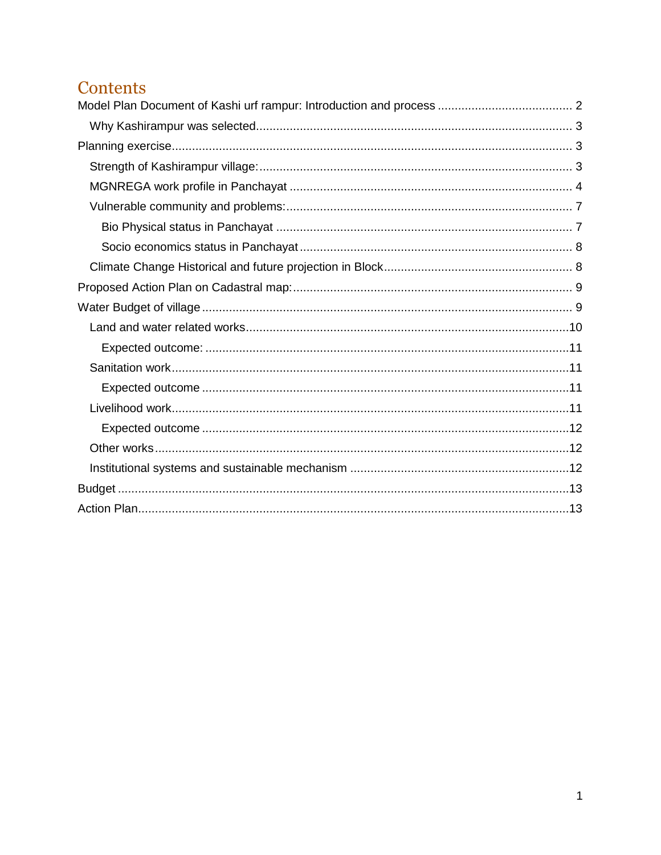### Contents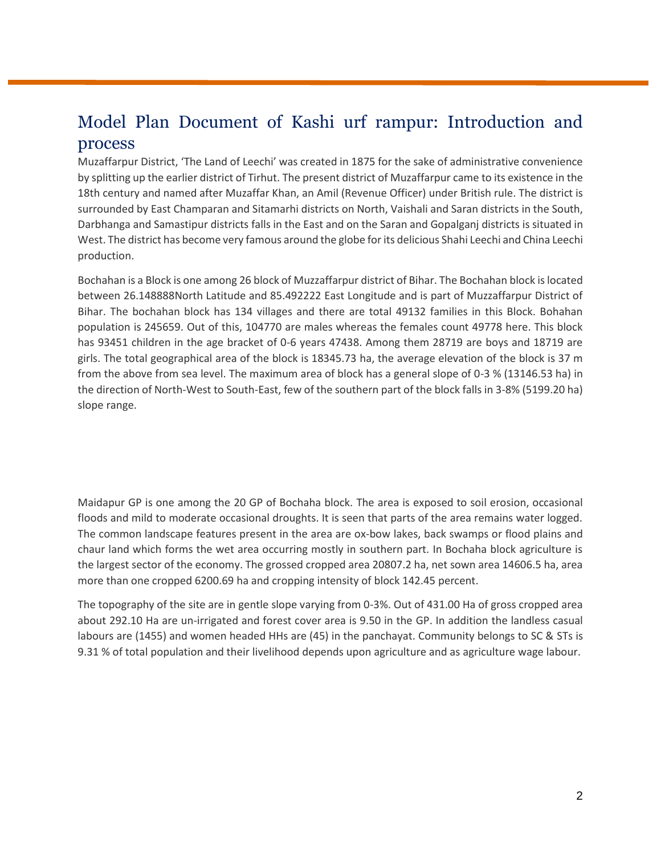### <span id="page-2-0"></span>Model Plan Document of Kashi urf rampur: Introduction and process

Muzaffarpur District, 'The Land of Leechi' was created in 1875 for the sake of administrative convenience by splitting up the earlier district of Tirhut. The present district of Muzaffarpur came to its existence in the 18th century and named after Muzaffar Khan, an Amil (Revenue Officer) under British rule. The district is surrounded by East Champaran and Sitamarhi districts on North, Vaishali and Saran districts in the South, Darbhanga and Samastipur districts falls in the East and on the Saran and Gopalganj districts is situated in West. The district has become very famous around the globe for its delicious Shahi Leechi and China Leechi production.

Bochahan is a Block is one among 26 block of Muzzaffarpur district of Bihar. The Bochahan block is located between 26.148888North Latitude and 85.492222 East Longitude and is part of Muzzaffarpur District of Bihar. The bochahan block has 134 villages and there are total 49132 families in this Block. Bohahan population is 245659. Out of this, 104770 are males whereas the females count 49778 here. This block has 93451 children in the age bracket of 0-6 years 47438. Among them 28719 are boys and 18719 are girls. The total geographical area of the block is 18345.73 ha, the average elevation of the block is 37 m from the above from sea level. The maximum area of block has a general slope of 0-3 % (13146.53 ha) in the direction of North-West to South-East, few of the southern part of the block falls in 3-8% (5199.20 ha) slope range.

Maidapur GP is one among the 20 GP of Bochaha block. The area is exposed to soil erosion, occasional floods and mild to moderate occasional droughts. It is seen that parts of the area remains water logged. The common landscape features present in the area are ox-bow lakes, back swamps or flood plains and chaur land which forms the wet area occurring mostly in southern part. In Bochaha block agriculture is the largest sector of the economy. The grossed cropped area 20807.2 ha, net sown area 14606.5 ha, area more than one cropped 6200.69 ha and cropping intensity of block 142.45 percent.

The topography of the site are in gentle slope varying from 0-3%. Out of 431.00 Ha of gross cropped area about 292.10 Ha are un-irrigated and forest cover area is 9.50 in the GP. In addition the landless casual labours are (1455) and women headed HHs are (45) in the panchayat. Community belongs to SC & STs is 9.31 % of total population and their livelihood depends upon agriculture and as agriculture wage labour.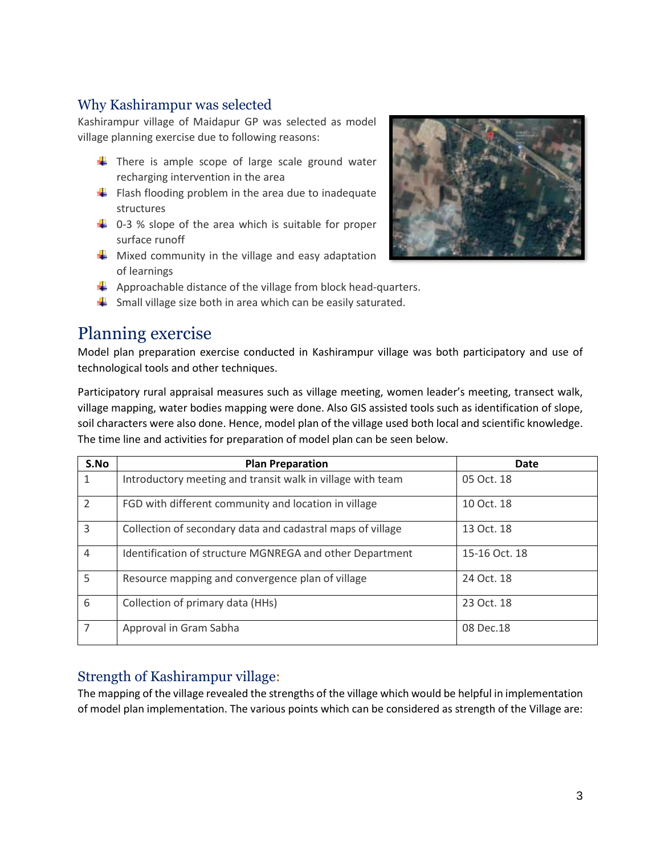#### <span id="page-3-0"></span>Why Kashirampur was selected

Kashirampur village of Maidapur GP was selected as model village planning exercise due to following reasons:

- $\frac{1}{\sqrt{2}}$  There is ample scope of large scale ground water recharging intervention in the area
- $\downarrow$  Flash flooding problem in the area due to inadequate structures
- $\uparrow$  0-3 % slope of the area which is suitable for proper surface runoff
- $\downarrow$  Mixed community in the village and easy adaptation of learnings
- $\downarrow$  Approachable distance of the village from block head-quarters.
- $\ddot{\phantom{1}}$  Small village size both in area which can be easily saturated.

### <span id="page-3-1"></span>Planning exercise

Model plan preparation exercise conducted in Kashirampur village was both participatory and use of technological tools and other techniques.

Participatory rural appraisal measures such as village meeting, women leader's meeting, transect walk, village mapping, water bodies mapping were done. Also GIS assisted tools such as identification of slope, soil characters were also done. Hence, model plan of the village used both local and scientific knowledge. The time line and activities for preparation of model plan can be seen below.

| S.No                     | <b>Plan Preparation</b>                                    | Date          |
|--------------------------|------------------------------------------------------------|---------------|
| 1                        | Introductory meeting and transit walk in village with team | 05 Oct. 18    |
| $\overline{\phantom{a}}$ | FGD with different community and location in village       | 10 Oct. 18    |
| 3                        | Collection of secondary data and cadastral maps of village | 13 Oct. 18    |
| $\overline{4}$           | Identification of structure MGNREGA and other Department   | 15-16 Oct. 18 |
| 5                        | Resource mapping and convergence plan of village           | 24 Oct. 18    |
| 6                        | Collection of primary data (HHs)                           | 23 Oct. 18    |
| 7                        | Approval in Gram Sabha                                     | 08 Dec.18     |

#### <span id="page-3-2"></span>Strength of Kashirampur village:

The mapping of the village revealed the strengths of the village which would be helpful in implementation of model plan implementation. The various points which can be considered as strength of the Village are:

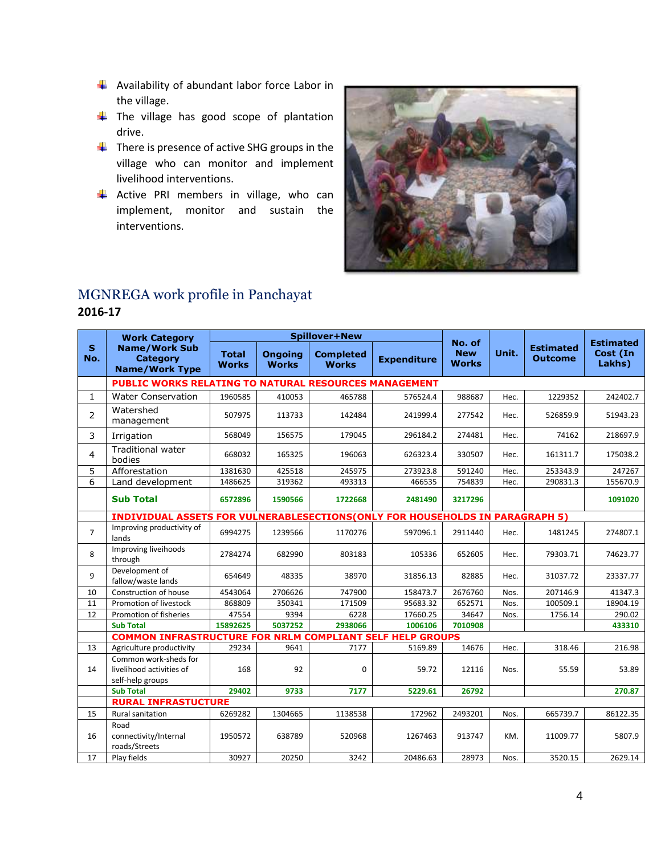- $\frac{1}{2}$  Availability of abundant labor force Labor in the village.
- $\overline{\phantom{a}}$  The village has good scope of plantation drive.
- $\frac{1}{\sqrt{2}}$  There is presence of active SHG groups in the village who can monitor and implement livelihood interventions.
- $\overline{\phantom{a}}$  Active PRI members in village, who can implement, monitor and sustain the interventions.



### <span id="page-4-0"></span>MGNREGA work profile in Panchayat

#### **2016-17**

|                     | <b>Work Category</b>                                                         |                              |                                | <b>Spillover+New</b>             |                    |                                      |       |                                    |                                        |
|---------------------|------------------------------------------------------------------------------|------------------------------|--------------------------------|----------------------------------|--------------------|--------------------------------------|-------|------------------------------------|----------------------------------------|
| $\mathbf{s}$<br>No. | <b>Name/Work Sub</b><br><b>Category</b><br><b>Name/Work Type</b>             | <b>Total</b><br><b>Works</b> | <b>Ongoing</b><br><b>Works</b> | <b>Completed</b><br><b>Works</b> | <b>Expenditure</b> | No. of<br><b>New</b><br><b>Works</b> | Unit. | <b>Estimated</b><br><b>Outcome</b> | <b>Estimated</b><br>Cost (In<br>Lakhs) |
|                     | PUBLIC WORKS RELATING TO NATURAL RESOURCES MANAGEMENT                        |                              |                                |                                  |                    |                                      |       |                                    |                                        |
| 1                   | <b>Water Conservation</b>                                                    | 1960585                      | 410053                         | 465788                           | 576524.4           | 988687                               | Hec.  | 1229352                            | 242402.7                               |
| $\overline{2}$      | Watershed<br>management                                                      | 507975                       | 113733                         | 142484                           | 241999.4           | 277542                               | Hec.  | 526859.9                           | 51943.23                               |
| 3                   | Irrigation                                                                   | 568049                       | 156575                         | 179045                           | 296184.2           | 274481                               | Hec.  | 74162                              | 218697.9                               |
| $\overline{4}$      | <b>Traditional water</b><br>bodies                                           | 668032                       | 165325                         | 196063                           | 626323.4           | 330507                               | Hec.  | 161311.7                           | 175038.2                               |
| 5                   | Afforestation                                                                | 1381630                      | 425518                         | 245975                           | 273923.8           | 591240                               | Hec.  | 253343.9                           | 247267                                 |
| 6                   | Land development                                                             | 1486625                      | 319362                         | 493313                           | 466535             | 754839                               | Hec.  | 290831.3                           | 155670.9                               |
|                     | <b>Sub Total</b>                                                             | 6572896                      | 1590566                        | 1722668                          | 2481490            | 3217296                              |       |                                    | 1091020                                |
|                     | INDIVIDUAL ASSETS FOR VULNERABLESECTIONS(ONLY FOR HOUSEHOLDS IN PARAGRAPH 5) |                              |                                |                                  |                    |                                      |       |                                    |                                        |
| $\overline{7}$      | Improving productivity of<br>lands                                           | 6994275                      | 1239566                        | 1170276                          | 597096.1           | 2911440                              | Hec.  | 1481245                            | 274807.1                               |
| 8                   | Improving liveihoods<br>through                                              | 2784274                      | 682990                         | 803183                           | 105336             | 652605                               | Hec.  | 79303.71                           | 74623.77                               |
| 9                   | Development of<br>fallow/waste lands                                         | 654649                       | 48335                          | 38970                            | 31856.13           | 82885                                | Hec.  | 31037.72                           | 23337.77                               |
| 10                  | Construction of house                                                        | 4543064                      | 2706626                        | 747900                           | 158473.7           | 2676760                              | Nos.  | 207146.9                           | 41347.3                                |
| 11                  | Promotion of livestock                                                       | 868809                       | 350341                         | 171509                           | 95683.32           | 652571                               | Nos.  | 100509.1                           | 18904.19                               |
| 12                  | Promotion of fisheries                                                       | 47554                        | 9394                           | 6228                             | 17660.25           | 34647                                | Nos.  | 1756.14                            | 290.02                                 |
|                     | <b>Sub Total</b>                                                             | 15892625                     | 5037252                        | 2938066                          | 1006106            | 7010908                              |       |                                    | 433310                                 |
|                     | <b>COMMON INFRASTRUCTURE FOR NRLM COMPLIANT SELF HELP GROUPS</b>             |                              |                                |                                  |                    |                                      |       |                                    |                                        |
| 13                  | Agriculture productivity                                                     | 29234                        | 9641                           | 7177                             | 5169.89            | 14676                                | Hec.  | 318.46                             | 216.98                                 |
| 14                  | Common work-sheds for<br>livelihood activities of<br>self-help groups        | 168                          | 92                             | $\Omega$                         | 59.72              | 12116                                | Nos.  | 55.59                              | 53.89                                  |
|                     | <b>Sub Total</b>                                                             | 29402                        | 9733                           | 7177                             | 5229.61            | 26792                                |       |                                    | 270.87                                 |
|                     | <b>RURAL INFRASTUCTURE</b>                                                   |                              |                                |                                  |                    |                                      |       |                                    |                                        |
| 15                  | <b>Rural sanitation</b>                                                      | 6269282                      | 1304665                        | 1138538                          | 172962             | 2493201                              | Nos.  | 665739.7                           | 86122.35                               |
| 16                  | Road<br>connectivity/Internal<br>roads/Streets                               | 1950572                      | 638789                         | 520968                           | 1267463            | 913747                               | KM.   | 11009.77                           | 5807.9                                 |
| 17                  | Play fields                                                                  | 30927                        | 20250                          | 3242                             | 20486.63           | 28973                                | Nos.  | 3520.15                            | 2629.14                                |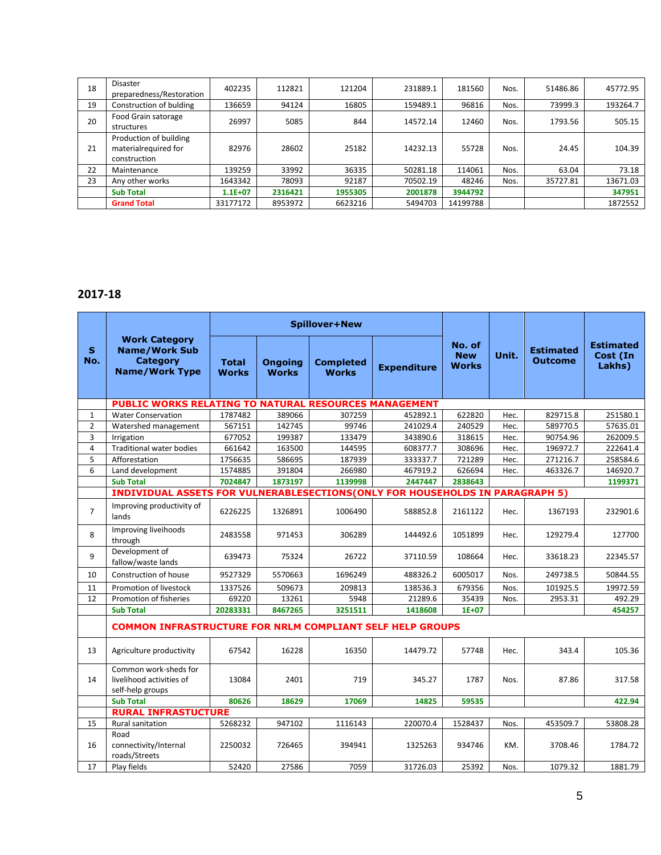| 18 | <b>Disaster</b><br>preparedness/Restoration                    | 402235      | 112821  | 121204  | 231889.1 | 181560   | Nos. | 51486.86 | 45772.95 |
|----|----------------------------------------------------------------|-------------|---------|---------|----------|----------|------|----------|----------|
| 19 | Construction of bulding                                        | 136659      | 94124   | 16805   | 159489.1 | 96816    | Nos. | 73999.3  | 193264.7 |
| 20 | Food Grain satorage<br>structures                              | 26997       | 5085    | 844     | 14572.14 | 12460    | Nos. | 1793.56  | 505.15   |
| 21 | Production of building<br>materialrequired for<br>construction | 82976       | 28602   | 25182   | 14232.13 | 55728    | Nos. | 24.45    | 104.39   |
| 22 | Maintenance                                                    | 139259      | 33992   | 36335   | 50281.18 | 114061   | Nos. | 63.04    | 73.18    |
| 23 | Any other works                                                | 1643342     | 78093   | 92187   | 70502.19 | 48246    | Nos. | 35727.81 | 13671.03 |
|    | <b>Sub Total</b>                                               | $1.1E + 07$ | 2316421 | 1955305 | 2001878  | 3944792  |      |          | 347951   |
|    | <b>Grand Total</b>                                             | 33177172    | 8953972 | 6623216 | 5494703  | 14199788 |      |          | 1872552  |

#### **2017-18**

|                     |                                                                                          |                              |                                | <b>Spillover+New</b>             |                    |                                      |       |                                    |                                        |
|---------------------|------------------------------------------------------------------------------------------|------------------------------|--------------------------------|----------------------------------|--------------------|--------------------------------------|-------|------------------------------------|----------------------------------------|
| $\mathbf{s}$<br>No. | <b>Work Category</b><br><b>Name/Work Sub</b><br><b>Category</b><br><b>Name/Work Type</b> | <b>Total</b><br><b>Works</b> | <b>Ongoing</b><br><b>Works</b> | <b>Completed</b><br><b>Works</b> | <b>Expenditure</b> | No. of<br><b>New</b><br><b>Works</b> | Unit. | <b>Estimated</b><br><b>Outcome</b> | <b>Estimated</b><br>Cost (In<br>Lakhs) |
|                     | PUBLIC WORKS RELATING TO NATURAL RESOURCES MANAGEMENT                                    |                              |                                |                                  |                    |                                      |       |                                    |                                        |
| $\mathbf{1}$        | <b>Water Conservation</b>                                                                | 1787482                      | 389066                         | 307259                           | 452892.1           | 622820                               | Hec.  | 829715.8                           | 251580.1                               |
| $\overline{2}$      | Watershed management                                                                     | 567151                       | 142745                         | 99746                            | 241029.4           | 240529                               | Hec.  | 589770.5                           | 57635.01                               |
| 3                   | Irrigation                                                                               | 677052                       | 199387                         | 133479                           | 343890.6           | 318615                               | Hec.  | 90754.96                           | 262009.5                               |
| $\overline{a}$      | <b>Traditional water bodies</b>                                                          | 661642                       | 163500                         | 144595                           | 608377.7           | 308696                               | Hec.  | 196972.7                           | 222641.4                               |
| 5                   | Afforestation                                                                            | 1756635                      | 586695                         | 187939                           | 333337.7           | 721289                               | Hec.  | 271216.7                           | 258584.6                               |
| 6                   | Land development                                                                         | 1574885                      | 391804                         | 266980                           | 467919.2           | 626694                               | Hec.  | 463326.7                           | 146920.7                               |
|                     | <b>Sub Total</b>                                                                         | 7024847                      | 1873197                        | 1139998                          | 2447447            | 2838643                              |       |                                    | 1199371                                |
|                     | INDIVIDUAL ASSETS FOR VULNERABLESECTIONS(ONLY FOR HOUSEHOLDS IN PARAGRAPH 5)             |                              |                                |                                  |                    |                                      |       |                                    |                                        |
| $\overline{7}$      | Improving productivity of<br>lands                                                       | 6226225                      | 1326891                        | 1006490                          | 588852.8           | 2161122                              | Hec.  | 1367193                            | 232901.6                               |
| 8                   | Improving liveihoods<br>through                                                          | 2483558                      | 971453                         | 306289                           | 144492.6           | 1051899                              | Hec.  | 129279.4                           | 127700                                 |
| 9                   | Development of<br>fallow/waste lands                                                     | 639473                       | 75324                          | 26722                            | 37110.59           | 108664                               | Hec.  | 33618.23                           | 22345.57                               |
| 10                  | Construction of house                                                                    | 9527329                      | 5570663                        | 1696249                          | 488326.2           | 6005017                              | Nos.  | 249738.5                           | 50844.55                               |
| 11                  | Promotion of livestock                                                                   | 1337526                      | 509673                         | 209813                           | 138536.3           | 679356                               | Nos.  | 101925.5                           | 19972.59                               |
| 12                  | Promotion of fisheries                                                                   | 69220                        | 13261                          | 5948                             | 21289.6            | 35439                                | Nos.  | 2953.31                            | 492.29                                 |
|                     | <b>Sub Total</b>                                                                         | 20283331                     | 8467265                        | 3251511                          | 1418608            | $1E+07$                              |       |                                    | 454257                                 |
|                     | <b>COMMON INFRASTRUCTURE FOR NRLM COMPLIANT SELF HELP GROUPS</b>                         |                              |                                |                                  |                    |                                      |       |                                    |                                        |
| 13                  | Agriculture productivity                                                                 | 67542                        | 16228                          | 16350                            | 14479.72           | 57748                                | Hec.  | 343.4                              | 105.36                                 |
| 14                  | Common work-sheds for<br>livelihood activities of<br>self-help groups                    | 13084                        | 2401                           | 719                              | 345.27             | 1787                                 | Nos.  | 87.86                              | 317.58                                 |
|                     | <b>Sub Total</b>                                                                         | 80626                        | 18629                          | 17069                            | 14825              | 59535                                |       |                                    | 422.94                                 |
|                     | <b>RURAL INFRASTUCTURE</b>                                                               |                              |                                |                                  |                    |                                      |       |                                    |                                        |
| 15                  | <b>Rural sanitation</b>                                                                  | 5268232                      | 947102                         | 1116143                          | 220070.4           | 1528437                              | Nos.  | 453509.7                           | 53808.28                               |
| 16                  | Road<br>connectivity/Internal<br>roads/Streets                                           | 2250032                      | 726465                         | 394941                           | 1325263            | 934746                               | KM.   | 3708.46                            | 1784.72                                |
| 17                  | Play fields                                                                              | 52420                        | 27586                          | 7059                             | 31726.03           | 25392                                | Nos.  | 1079.32                            | 1881.79                                |
|                     |                                                                                          |                              |                                |                                  |                    |                                      |       |                                    |                                        |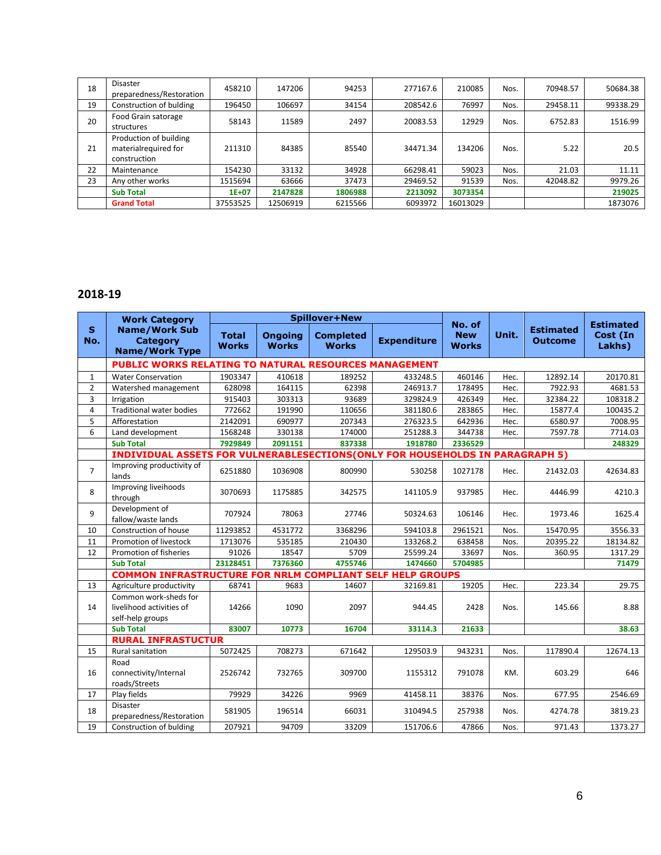| 18 | <b>Disaster</b>                                                | 458210    | 147206   | 94253   | 277167.6 | 210085   | Nos. | 70948.57 | 50684.38 |
|----|----------------------------------------------------------------|-----------|----------|---------|----------|----------|------|----------|----------|
|    | preparedness/Restoration                                       |           |          |         |          |          |      |          |          |
| 19 | Construction of bulding                                        | 196450    | 106697   | 34154   | 208542.6 | 76997    | Nos. | 29458.11 | 99338.29 |
| 20 | Food Grain satorage<br>structures                              | 58143     | 11589    | 2497    | 20083.53 | 12929    | Nos. | 6752.83  | 1516.99  |
| 21 | Production of building<br>materialrequired for<br>construction | 211310    | 84385    | 85540   | 34471.34 | 134206   | Nos. | 5.22     | 20.5     |
| 22 | Maintenance                                                    | 154230    | 33132    | 34928   | 66298.41 | 59023    | Nos. | 21.03    | 11.11    |
| 23 | Any other works                                                | 1515694   | 63666    | 37473   | 29469.52 | 91539    | Nos. | 42048.82 | 9979.26  |
|    | <b>Sub Total</b>                                               | $1E + 07$ | 2147828  | 1806988 | 2213092  | 3073354  |      |          | 219025   |
|    | <b>Grand Total</b>                                             | 37553525  | 12506919 | 6215566 | 6093972  | 16013029 |      |          | 1873076  |

#### **2018-19**

|                     | <b>Work Category</b>                                                  |                              |                                | <b>Spillover+New</b>             |                                                                    |                                      |       |                                    |                                        |
|---------------------|-----------------------------------------------------------------------|------------------------------|--------------------------------|----------------------------------|--------------------------------------------------------------------|--------------------------------------|-------|------------------------------------|----------------------------------------|
| $\mathbf{s}$<br>No. | <b>Name/Work Sub</b><br><b>Category</b><br><b>Name/Work Type</b>      | <b>Total</b><br><b>Works</b> | <b>Ongoing</b><br><b>Works</b> | <b>Completed</b><br><b>Works</b> | <b>Expenditure</b>                                                 | No. of<br><b>New</b><br><b>Works</b> | Unit. | <b>Estimated</b><br><b>Outcome</b> | <b>Estimated</b><br>Cost (In<br>Lakhs) |
|                     | <b>PUBLIC WORKS RELATING TO NATURAL RESOURCES MANAGEMENT</b>          |                              |                                |                                  |                                                                    |                                      |       |                                    |                                        |
| $\mathbf{1}$        | <b>Water Conservation</b>                                             | 1903347                      | 410618                         | 189252                           | 433248.5                                                           | 460146                               | Hec.  | 12892.14                           | 20170.81                               |
| $\overline{2}$      | Watershed management                                                  | 628098                       | 164115                         | 62398                            | 246913.7                                                           | 178495                               | Hec.  | 7922.93                            | 4681.53                                |
| 3                   | Irrigation                                                            | 915403                       | 303313                         | 93689                            | 329824.9                                                           | 426349                               | Hec.  | 32384.22                           | 108318.2                               |
| 4                   | <b>Traditional water bodies</b>                                       | 772662                       | 191990                         | 110656                           | 381180.6                                                           | 283865                               | Hec.  | 15877.4                            | 100435.2                               |
| 5                   | Afforestation                                                         | 2142091                      | 690977                         | 207343                           | 276323.5                                                           | 642936                               | Hec.  | 6580.97                            | 7008.95                                |
| 6                   | Land development                                                      | 1568248                      | 330138                         | 174000                           | 251288.3                                                           | 344738                               | Hec.  | 7597.78                            | 7714.03                                |
|                     | <b>Sub Total</b>                                                      | 7929849                      | 2091151                        | 837338                           | 1918780                                                            | 2336529                              |       |                                    | 248329                                 |
|                     | <b>INDIVIDUAL ASSETS</b>                                              |                              |                                |                                  | <b>FOR VULNERABLESECTIONS (ONLY FOR HOUSEHOLDS IN PARAGRAPH 5)</b> |                                      |       |                                    |                                        |
| $\overline{7}$      | Improving productivity of<br>lands                                    | 6251880                      | 1036908                        | 800990                           | 530258                                                             | 1027178                              | Hec.  | 21432.03                           | 42634.83                               |
| 8                   | Improving liveihoods<br>through                                       | 3070693                      | 1175885                        | 342575                           | 141105.9                                                           | 937985                               | Hec.  | 4446.99                            | 4210.3                                 |
| 9                   | Development of<br>fallow/waste lands                                  | 707924                       | 78063                          | 27746                            | 50324.63                                                           | 106146                               | Hec.  | 1973.46                            | 1625.4                                 |
| 10                  | Construction of house                                                 | 11293852                     | 4531772                        | 3368296                          | 594103.8                                                           | 2961521                              | Nos.  | 15470.95                           | 3556.33                                |
| 11                  | Promotion of livestock                                                | 1713076                      | 535185                         | 210430                           | 133268.2                                                           | 638458                               | Nos.  | 20395.22                           | 18134.82                               |
| 12                  | Promotion of fisheries                                                | 91026                        | 18547                          | 5709                             | 25599.24                                                           | 33697                                | Nos.  | 360.95                             | 1317.29                                |
|                     | <b>Sub Total</b>                                                      | 23128451                     | 7376360                        | 4755746                          | 1474660                                                            | 5704985                              |       |                                    | 71479                                  |
|                     | <b>COMMON INFRASTRUCTURE FOR NRLM COMPLIANT SELF HELP GROUPS</b>      |                              |                                |                                  |                                                                    |                                      |       |                                    |                                        |
| 13                  | Agriculture productivity                                              | 68741                        | 9683                           | 14607                            | 32169.81                                                           | 19205                                | Hec.  | 223.34                             | 29.75                                  |
| 14                  | Common work-sheds for<br>livelihood activities of<br>self-help groups | 14266                        | 1090                           | 2097                             | 944.45                                                             | 2428                                 | Nos.  | 145.66                             | 8.88                                   |
|                     | <b>Sub Total</b>                                                      | 83007                        | 10773                          | 16704                            | 33114.3                                                            | 21633                                |       |                                    | 38.63                                  |
|                     | <b>RURAL INFRASTUCTUR</b>                                             |                              |                                |                                  |                                                                    |                                      |       |                                    |                                        |
| 15                  | <b>Rural sanitation</b>                                               | 5072425                      | 708273                         | 671642                           | 129503.9                                                           | 943231                               | Nos.  | 117890.4                           | 12674.13                               |
|                     | Road                                                                  |                              |                                |                                  |                                                                    |                                      |       |                                    |                                        |
| 16                  | connectivity/Internal<br>roads/Streets                                | 2526742                      | 732765                         | 309700                           | 1155312                                                            | 791078                               | KM.   | 603.29                             | 646                                    |
| 17                  | Play fields                                                           | 79929                        | 34226                          | 9969                             | 41458.11                                                           | 38376                                | Nos.  | 677.95                             | 2546.69                                |
| 18                  | <b>Disaster</b><br>preparedness/Restoration                           | 581905                       | 196514                         | 66031                            | 310494.5                                                           | 257938                               | Nos.  | 4274.78                            | 3819.23                                |
| 19                  | Construction of bulding                                               | 207921                       | 94709                          | 33209                            | 151706.6                                                           | 47866                                | Nos.  | 971.43                             | 1373.27                                |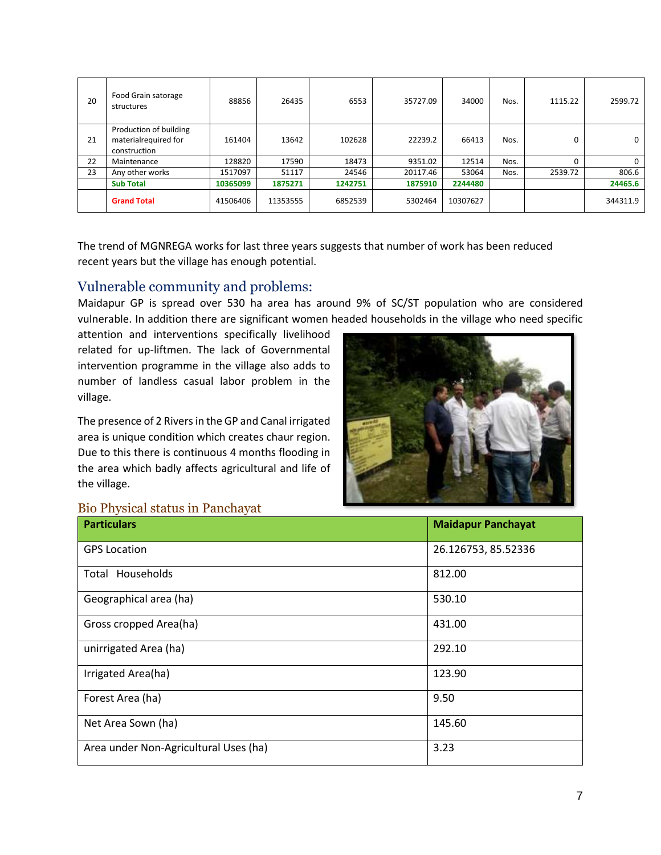| 20 | Food Grain satorage<br>structures                              | 88856    | 26435    | 6553    | 35727.09 | 34000    | Nos. | 1115.22 | 2599.72  |
|----|----------------------------------------------------------------|----------|----------|---------|----------|----------|------|---------|----------|
| 21 | Production of building<br>materialrequired for<br>construction | 161404   | 13642    | 102628  | 22239.2  | 66413    | Nos. | 0       | 0        |
| 22 | Maintenance                                                    | 128820   | 17590    | 18473   | 9351.02  | 12514    | Nos. |         | $\Omega$ |
| 23 | Any other works                                                | 1517097  | 51117    | 24546   | 20117.46 | 53064    | Nos. | 2539.72 | 806.6    |
|    | <b>Sub Total</b>                                               | 10365099 | 1875271  | 1242751 | 1875910  | 2244480  |      |         | 24465.6  |
|    | <b>Grand Total</b>                                             | 41506406 | 11353555 | 6852539 | 5302464  | 10307627 |      |         | 344311.9 |

The trend of MGNREGA works for last three years suggests that number of work has been reduced recent years but the village has enough potential.

#### <span id="page-7-0"></span>Vulnerable community and problems:

Maidapur GP is spread over 530 ha area has around 9% of SC/ST population who are considered vulnerable. In addition there are significant women headed households in the village who need specific

attention and interventions specifically livelihood related for up-liftmen. The lack of Governmental intervention programme in the village also adds to number of landless casual labor problem in the village.

The presence of 2 Rivers in the GP and Canal irrigated area is unique condition which creates chaur region. Due to this there is continuous 4 months flooding in the area which badly affects agricultural and life of the village.



#### <span id="page-7-1"></span>Bio Physical status in Panchayat

| <b>Particulars</b>                    | <b>Maidapur Panchayat</b> |
|---------------------------------------|---------------------------|
| <b>GPS Location</b>                   | 26.126753, 85.52336       |
| Total Households                      | 812.00                    |
| Geographical area (ha)                | 530.10                    |
| Gross cropped Area(ha)                | 431.00                    |
| unirrigated Area (ha)                 | 292.10                    |
| Irrigated Area(ha)                    | 123.90                    |
| Forest Area (ha)                      | 9.50                      |
| Net Area Sown (ha)                    | 145.60                    |
| Area under Non-Agricultural Uses (ha) | 3.23                      |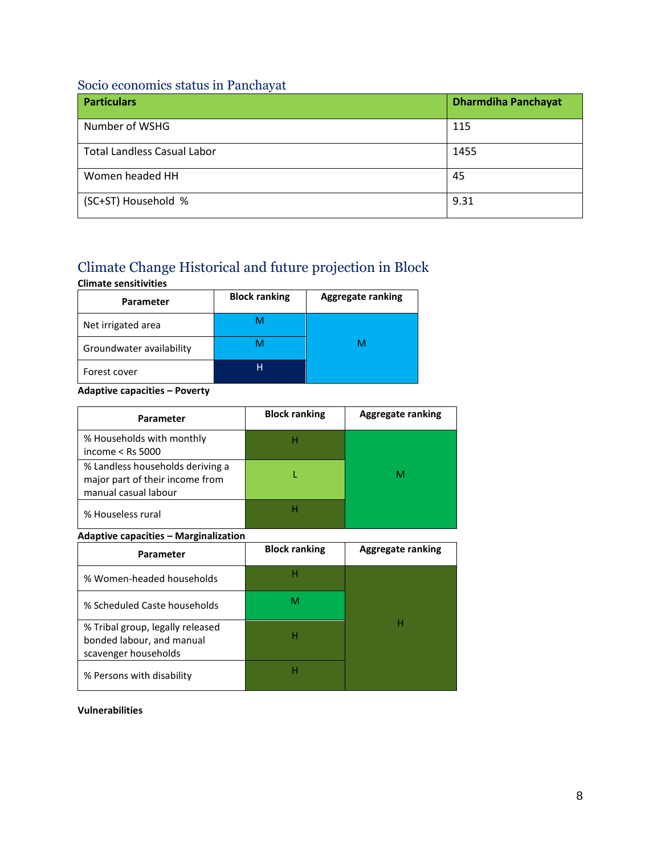#### <span id="page-8-0"></span>Socio economics status in Panchayat

| <b>Particulars</b>                 | <b>Dharmdiha Panchayat</b> |
|------------------------------------|----------------------------|
| Number of WSHG                     | 115                        |
| <b>Total Landless Casual Labor</b> | 1455                       |
| Women headed HH                    | 45                         |
| (SC+ST) Household %                | 9.31                       |

### <span id="page-8-1"></span>Climate Change Historical and future projection in Block

### **Climate sensitivities Parameter Block ranking Aggregate ranking** Net irrigated area **M** Groundwater availability **M** M M M Forest cover **H**

#### **Adaptive capacities – Poverty**

| Parameter                                                                                   | <b>Block ranking</b> | <b>Aggregate ranking</b> |
|---------------------------------------------------------------------------------------------|----------------------|--------------------------|
| % Households with monthly<br>income $<$ Rs 5000                                             | н                    |                          |
| % Landless households deriving a<br>major part of their income from<br>manual casual labour |                      |                          |
| % Houseless rural                                                                           | Н                    |                          |

#### **Adaptive capacities – Marginalization**

| Parameter                                                                             | <b>Block ranking</b> | <b>Aggregate ranking</b> |
|---------------------------------------------------------------------------------------|----------------------|--------------------------|
| % Women-headed households                                                             | н                    |                          |
| % Scheduled Caste households                                                          | M                    |                          |
| % Tribal group, legally released<br>bonded labour, and manual<br>scavenger households | н                    |                          |
| % Persons with disability                                                             | н                    |                          |

#### **Vulnerabilities**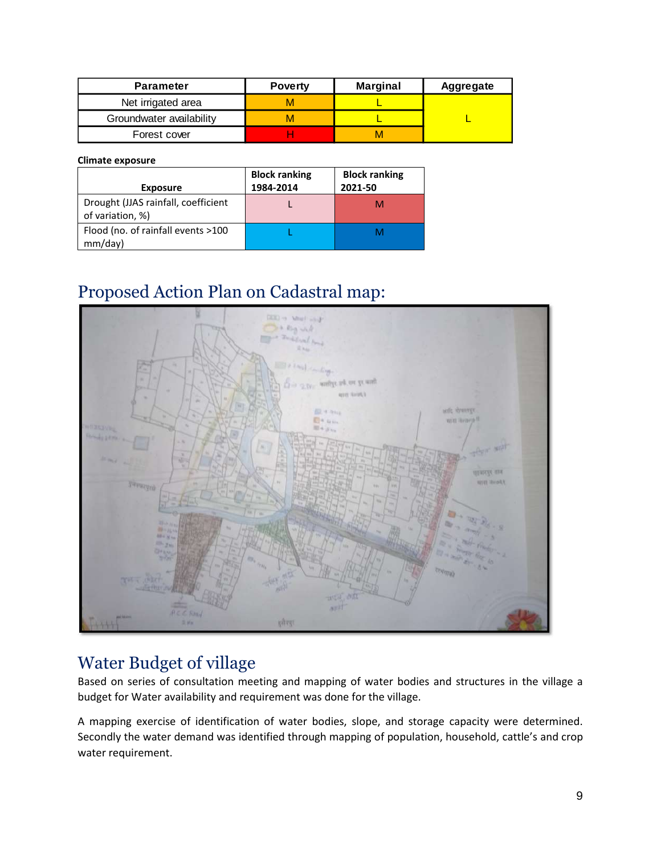| <b>Parameter</b>         | <b>Poverty</b> | <b>Marginal</b> | Aggregate |
|--------------------------|----------------|-----------------|-----------|
| Net irrigated area       |                |                 |           |
| Groundwater availability | M              |                 |           |
| Forest cover             |                |                 |           |

#### **Climate exposure**

| <b>Exposure</b>                                         | <b>Block ranking</b><br>1984-2014 | <b>Block ranking</b><br>2021-50 |
|---------------------------------------------------------|-----------------------------------|---------------------------------|
| Drought (JJAS rainfall, coefficient<br>of variation, %) |                                   |                                 |
| Flood (no. of rainfall events >100<br>mm/day)           |                                   |                                 |

### <span id="page-9-0"></span>Proposed Action Plan on Cadastral map:



### <span id="page-9-1"></span>Water Budget of village

Based on series of consultation meeting and mapping of water bodies and structures in the village a budget for Water availability and requirement was done for the village.

A mapping exercise of identification of water bodies, slope, and storage capacity were determined. Secondly the water demand was identified through mapping of population, household, cattle's and crop water requirement.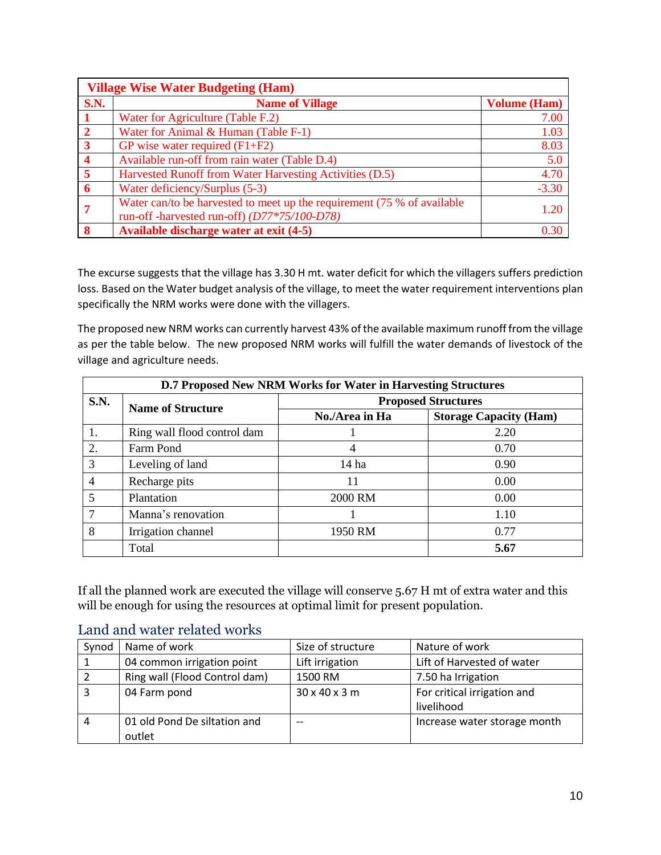|                | <b>Village Wise Water Budgeting (Ham)</b>                                                                               |                     |  |  |  |  |  |
|----------------|-------------------------------------------------------------------------------------------------------------------------|---------------------|--|--|--|--|--|
| <b>S.N.</b>    | <b>Name of Village</b>                                                                                                  | <b>Volume (Ham)</b> |  |  |  |  |  |
|                | Water for Agriculture (Table F.2)                                                                                       | 7.00                |  |  |  |  |  |
| $\overline{2}$ | Water for Animal & Human (Table F-1)                                                                                    | 1.03                |  |  |  |  |  |
| $\overline{3}$ | GP wise water required $(F1 + F2)$                                                                                      | 8.03                |  |  |  |  |  |
|                | Available run-off from rain water (Table D.4)                                                                           | 5.0                 |  |  |  |  |  |
| 5              | Harvested Runoff from Water Harvesting Activities (D.5)                                                                 | 4.70                |  |  |  |  |  |
| 6              | Water deficiency/Surplus (5-3)                                                                                          | $-3.30$             |  |  |  |  |  |
|                | Water can/to be harvested to meet up the requirement (75 % of available<br>run-off -harvested run-off) (D77*75/100-D78) | 1.20                |  |  |  |  |  |
|                | Available discharge water at exit (4-5)                                                                                 | 0.30                |  |  |  |  |  |

The excurse suggests that the village has 3.30 H mt. water deficit for which the villagers suffers prediction loss. Based on the Water budget analysis of the village, to meet the water requirement interventions plan specifically the NRM works were done with the villagers.

The proposed new NRM works can currently harvest 43% of the available maximum runoff from the village as per the table below. The new proposed NRM works will fulfill the water demands of livestock of the village and agriculture needs.

|      | D.7 Proposed New NRM Works for Water in Harvesting Structures |                            |                               |  |  |  |  |
|------|---------------------------------------------------------------|----------------------------|-------------------------------|--|--|--|--|
| S.N. | <b>Name of Structure</b>                                      | <b>Proposed Structures</b> |                               |  |  |  |  |
|      |                                                               | No./Area in Ha             | <b>Storage Capacity (Ham)</b> |  |  |  |  |
| 1.   | Ring wall flood control dam                                   |                            | 2.20                          |  |  |  |  |
| 2.   | Farm Pond                                                     | 4                          | 0.70                          |  |  |  |  |
| 3    | Leveling of land                                              | 14 ha                      | 0.90                          |  |  |  |  |
|      | Recharge pits                                                 | 11                         | 0.00                          |  |  |  |  |
| 5    | Plantation                                                    | 2000 RM                    | 0.00                          |  |  |  |  |
|      | Manna's renovation                                            |                            | 1.10                          |  |  |  |  |
| 8    | Irrigation channel                                            | 1950 RM                    | 0.77                          |  |  |  |  |
|      | Total                                                         |                            | 5.67                          |  |  |  |  |

If all the planned work are executed the village will conserve 5.67 H mt of extra water and this will be enough for using the resources at optimal limit for present population.

|       | <u>Landa ande maler fendele motivo</u> |                           |                              |  |  |  |  |  |
|-------|----------------------------------------|---------------------------|------------------------------|--|--|--|--|--|
| Synod | Name of work                           | Size of structure         | Nature of work               |  |  |  |  |  |
|       | 04 common irrigation point             | Lift irrigation           | Lift of Harvested of water   |  |  |  |  |  |
|       | Ring wall (Flood Control dam)          | 1500 RM                   | 7.50 ha Irrigation           |  |  |  |  |  |
| 3     | 04 Farm pond                           | $30 \times 40 \times 3$ m | For critical irrigation and  |  |  |  |  |  |
|       |                                        |                           | livelihood                   |  |  |  |  |  |
| 4     | 01 old Pond De siltation and           |                           | Increase water storage month |  |  |  |  |  |
|       | outlet                                 |                           |                              |  |  |  |  |  |

#### <span id="page-10-0"></span>Land and water related works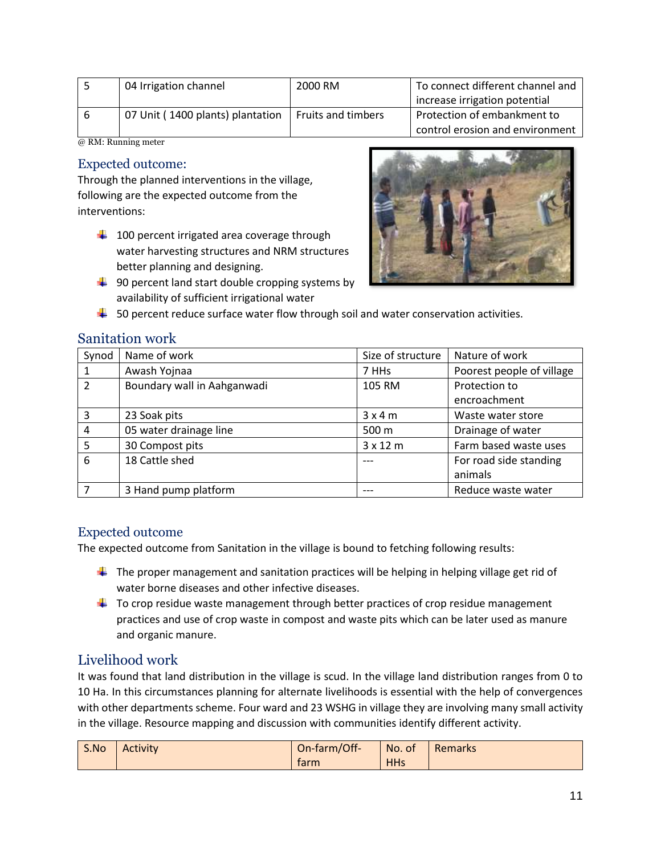|   | 04 Irrigation channel            | 2000 RM                   | To connect different channel and |
|---|----------------------------------|---------------------------|----------------------------------|
|   |                                  |                           | increase irrigation potential    |
| 6 | 07 Unit (1400 plants) plantation | <b>Fruits and timbers</b> | Protection of embankment to      |
|   |                                  |                           | control erosion and environment  |

@ RM: Running meter

#### <span id="page-11-0"></span>Expected outcome:

Through the planned interventions in the village, following are the expected outcome from the interventions:

- $\downarrow$  100 percent irrigated area coverage through water harvesting structures and NRM structures better planning and designing.
- $\frac{4}{3}$  90 percent land start double cropping systems by availability of sufficient irrigational water



 $\downarrow$  50 percent reduce surface water flow through soil and water conservation activities.

#### <span id="page-11-1"></span>Sanitation work

| Synod         | Name of work                | Size of structure | Nature of work            |
|---------------|-----------------------------|-------------------|---------------------------|
|               | Awash Yojnaa                | 7 HHs             | Poorest people of village |
| $\mathcal{P}$ | Boundary wall in Aahganwadi | 105 RM            | Protection to             |
|               |                             |                   | encroachment              |
| 3             | 23 Soak pits                | 3x4m              | Waste water store         |
| 4             | 05 water drainage line      | 500 m             | Drainage of water         |
| 5             | 30 Compost pits             | $3 \times 12$ m   | Farm based waste uses     |
| 6             | 18 Cattle shed              |                   | For road side standing    |
|               |                             |                   | animals                   |
|               | 3 Hand pump platform        |                   | Reduce waste water        |

#### <span id="page-11-2"></span>Expected outcome

The expected outcome from Sanitation in the village is bound to fetching following results:

- $\ddot{\phantom{1}}$  The proper management and sanitation practices will be helping in helping village get rid of water borne diseases and other infective diseases.
- $\ddot{\phantom{1}}$  To crop residue waste management through better practices of crop residue management practices and use of crop waste in compost and waste pits which can be later used as manure and organic manure.

#### <span id="page-11-3"></span>Livelihood work

It was found that land distribution in the village is scud. In the village land distribution ranges from 0 to 10 Ha. In this circumstances planning for alternate livelihoods is essential with the help of convergences with other departments scheme. Four ward and 23 WSHG in village they are involving many small activity in the village. Resource mapping and discussion with communities identify different activity.

| S.No | <b>Activity</b> | On-farm/Off- | No. of     | Remarks |
|------|-----------------|--------------|------------|---------|
|      |                 | tarm         | <b>HHs</b> |         |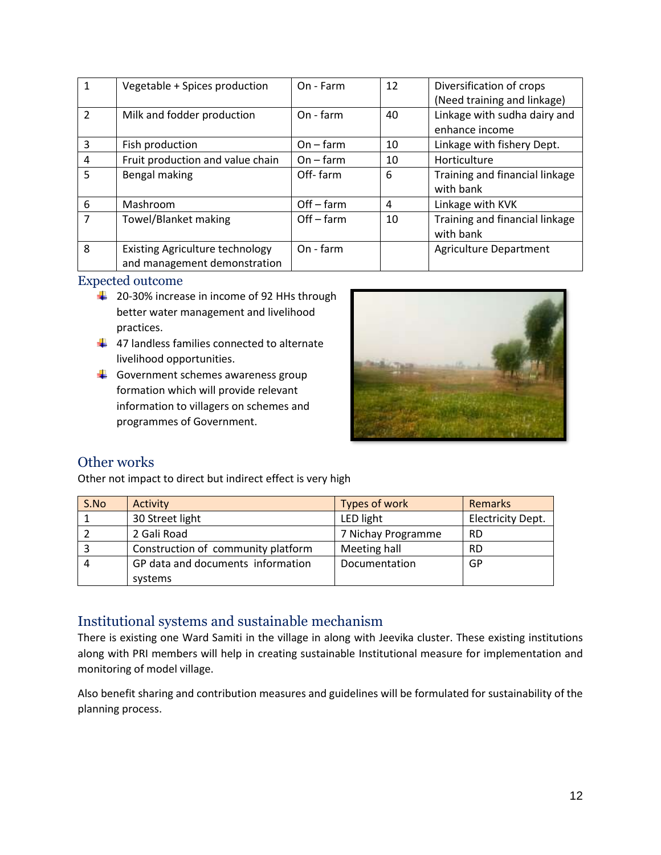| $\mathbf{1}$  | Vegetable + Spices production                                          | On - Farm    | 12 | Diversification of crops<br>(Need training and linkage) |
|---------------|------------------------------------------------------------------------|--------------|----|---------------------------------------------------------|
| $\mathcal{P}$ | Milk and fodder production                                             | On - farm    | 40 | Linkage with sudha dairy and<br>enhance income          |
| 3             | Fish production                                                        | $On - farm$  | 10 | Linkage with fishery Dept.                              |
| 4             | Fruit production and value chain                                       | $On - farm$  | 10 | Horticulture                                            |
| 5             | Bengal making                                                          | Off-farm     | 6  | Training and financial linkage<br>with bank             |
| 6             | Mashroom                                                               | $Off - farm$ | 4  | Linkage with KVK                                        |
| 7             | <b>Towel/Blanket making</b>                                            | $Off - farm$ | 10 | Training and financial linkage<br>with bank             |
| 8             | <b>Existing Agriculture technology</b><br>and management demonstration | On - farm    |    | <b>Agriculture Department</b>                           |

<span id="page-12-0"></span>Expected outcome

- $\frac{1}{2}$  20-30% increase in income of 92 HHs through better water management and livelihood practices.
- $\frac{1}{2}$  47 landless families connected to alternate livelihood opportunities.
- $\leftarrow$  Government schemes awareness group formation which will provide relevant information to villagers on schemes and programmes of Government.



#### <span id="page-12-1"></span>Other works

Other not impact to direct but indirect effect is very high

| S.No | Activity                           | Types of work      | <b>Remarks</b>           |
|------|------------------------------------|--------------------|--------------------------|
|      | 30 Street light                    | LED light          | <b>Electricity Dept.</b> |
|      | 2 Gali Road                        | 7 Nichay Programme | <b>RD</b>                |
|      | Construction of community platform | Meeting hall       | <b>RD</b>                |
|      | GP data and documents information  | Documentation      | GP                       |
|      | systems                            |                    |                          |

#### <span id="page-12-2"></span>Institutional systems and sustainable mechanism

There is existing one Ward Samiti in the village in along with Jeevika cluster. These existing institutions along with PRI members will help in creating sustainable Institutional measure for implementation and monitoring of model village.

Also benefit sharing and contribution measures and guidelines will be formulated for sustainability of the planning process.